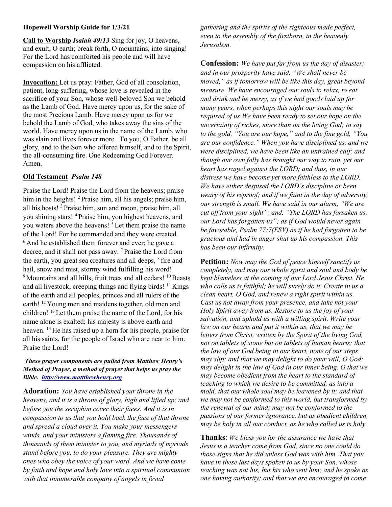## Hopewell Worship Guide for 1/3/21

Call to Worship Isaiah 49:13 Sing for joy, O heavens, and exult, O earth; break forth, O mountains, into singing! For the Lord has comforted his people and will have compassion on his afflicted.

Invocation: Let us pray: Father, God of all consolation, patient, long-suffering, whose love is revealed in the sacrifice of your Son, whose well-beloved Son we behold as the Lamb of God. Have mercy upon us, for the sake of the most Precious Lamb. Have mercy upon us for we behold the Lamb of God, who takes away the sins of the world. Have mercy upon us in the name of the Lamb, who was slain and lives forever more. To you, O Father, be all glory, and to the Son who offered himself, and to the Spirit, the all-consuming fire. One Redeeming God Forever. Amen.

## Old Testament Psalm 148

Praise the Lord! Praise the Lord from the heavens; praise him in the heights! <sup>2</sup> Praise him, all his angels; praise him, all his hosts! <sup>3</sup>Praise him, sun and moon, praise him, all you shining stars! <sup>4</sup>Praise him, you highest heavens, and you waters above the heavens! <sup>5</sup>Let them praise the name of the Lord! For he commanded and they were created.  $6$ And he established them forever and ever; he gave a decree, and it shall not pass away. <sup>7</sup>Praise the Lord from the earth, you great sea creatures and all deeps, <sup>8</sup> fire and hail, snow and mist, stormy wind fulfilling his word! <sup>9</sup> Mountains and all hills, fruit trees and all cedars! <sup>10</sup> Beasts and all livestock, creeping things and flying birds!  $\frac{11}{11}$  Kings of the earth and all peoples, princes and all rulers of the earth! <sup>12</sup>Young men and maidens together, old men and children! <sup>13</sup>Let them praise the name of the Lord, for his name alone is exalted; his majesty is above earth and heaven. <sup>14</sup> He has raised up a horn for his people, praise for all his saints, for the people of Israel who are near to him. Praise the Lord!

## These prayer components are pulled from Matthew Henry's Method of Prayer, a method of prayer that helps us pray the Bible. http://www.mattthewhenry.org

Adoration: You have established your throne in the heavens, and it is a throne of glory, high and lifted up; and before you the seraphim cover their faces. And it is in compassion to us that you hold back the face of that throne and spread a cloud over it. You make your messengers winds, and your ministers a flaming fire. Thousands of thousands of them minister to you, and myriads of myriads stand before you, to do your pleasure. They are mighty ones who obey the voice of your word. And we have come by faith and hope and holy love into a spiritual communion with that innumerable company of angels in festal

gathering and the spirits of the righteous made perfect, even to the assembly of the firstborn, in the heavenly Jerusalem.

Confession: We have put far from us the day of disaster; and in our prosperity have said, "We shall never be moved," as if tomorrow will be like this day, great beyond measure. We have encouraged our souls to relax, to eat and drink and be merry, as if we had goods laid up for many years, when perhaps this night our souls may be required of us We have been ready to set our hope on the uncertainty of riches, more than on the living God; to say to the gold, "You are our hope," and to the fine gold, "You are our confidence." When you have disciplined us, and we were disciplined, we have been like an untrained calf; and though our own folly has brought our way to ruin, yet our heart has raged against the LORD; and thus, in our distress we have become yet more faithless to the LORD. We have either despised the LORD's discipline or been weary of his reproof; and if we faint in the day of adversity, our strength is small. We have said in our alarm, "We are cut off from your sight"; and, "The LORD has forsaken us, our Lord has forgotten us"; as if God would never again be favorable, Psalm 77:7(ESV) as if he had forgotten to be gracious and had in anger shut up his compassion. This has been our infirmity.

**Petition:** Now may the God of peace himself sanctify us completely, and may our whole spirit and soul and body be kept blameless at the coming of our Lord Jesus Christ. He who calls us is faithful; he will surely do it. Create in us a clean heart, O God, and renew a right spirit within us. Cast us not away from your presence, and take not your Holy Spirit away from us. Restore to us the joy of your salvation, and uphold us with a willing spirit. Write your law on our hearts and put it within us, that we may be letters from Christ, written by the Spirit of the living God, not on tablets of stone but on tablets of human hearts; that the law of our God being in our heart, none of our steps may slip; and that we may delight to do your will, O God; may delight in the law of God in our inner being. O that we may become obedient from the heart to the standard of teaching to which we desire to be committed, as into a mold, that our whole soul may be leavened by it; and that we may not be conformed to this world, but transformed by the renewal of our mind; may not be conformed to the passions of our former ignorance, but as obedient children, may be holy in all our conduct, as he who called us is holy.

**Thanks:** We bless you for the assurance we have that Jesus is a teacher come from God, since no one could do those signs that he did unless God was with him. That you have in these last days spoken to us by your Son, whose teaching was not his, but his who sent him; and he spoke as one having authority; and that we are encouraged to come